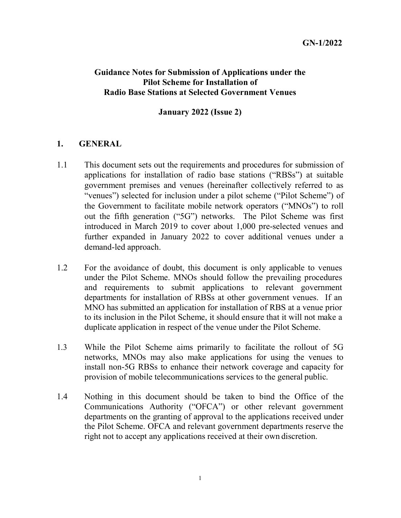## Guidance Notes for Submission of Applications under the Pilot Scheme for Installation of Radio Base Stations at Selected Government Venues

#### January 2022 (Issue 2)

#### 1. GENERAL

- $1.1$  applications for installation of radio base stations ("RBSs") at suitable government premises and venues (hereinafter collectively referred to as "venues") selected for inclusion under a pilot scheme ("Pilot Scheme") of the Government to facilitate mobile network operators ("MNOs") to roll out the fifth generation ("5G") networks. The Pilot Scheme was first introduced in March 2019 to cover about 1,000 pre-selected venues and further expanded in January 2022 to cover additional venues under a demand-led approach. This document sets out the requirements and procedures for submission of
- $1.2<sub>z</sub>$  under the Pilot Scheme. MNOs should follow the prevailing procedures and requirements to submit applications to relevant government departments for installation of RBSs at other government venues. If an MNO has submitted an application for installation of RBS at a venue prior to its inclusion in the Pilot Scheme, it should ensure that it will not make a duplicate application in respect of the venue under the Pilot Scheme. For the avoidance of doubt, this document is only applicable to venues
- 1.3 While the Pilot Scheme aims primarily to facilitate the rollout of 5G networks, MNOs may also make applications for using the venues to install non-5G RBSs to enhance their network coverage and capacity for provision of mobile telecommunications services to the general public.
- $1.4$  Communications Authority ("OFCA") or other relevant government departments on the granting of approval to the applications received under the Pilot Scheme. OFCA and relevant government departments reserve the right not to accept any applications received at their own discretion. Nothing in this document should be taken to bind the Office of the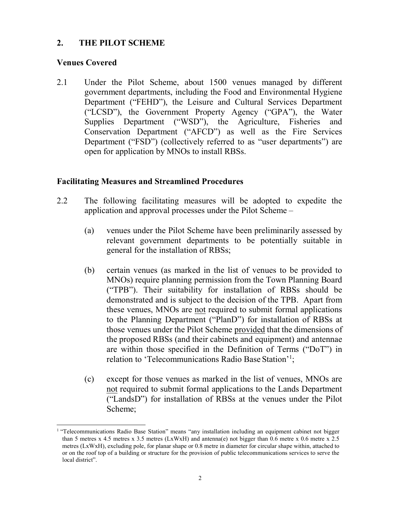#### $2.$ THE PILOT SCHEME

#### Venues Covered

 $\overline{a}$ 

2.1 Under the Pilot Scheme, about 1500 venues managed by different government departments, including the Food and Environmental Hygiene Department ("FEHD"), the Leisure and Cultural Services Department ("LCSD"), the Government Property Agency ("GPA"), the Water Supplies Department ("WSD"), the Agriculture, Fisheries and Conservation Department ("AFCD") as well as the Fire Services Department ("FSD") (collectively referred to as "user departments") are open for application by MNOs to install RBSs.

## Facilitating Measures and Streamlined Procedures

- 2.2 application and approval processes under the Pilot Scheme – The following facilitating measures will be adopted to expedite the
	- (a) venues under the Pilot Scheme have been preliminarily assessed by relevant government departments to be potentially suitable in general for the installation of RBSs;
	- (b) certain venues (as marked in the list of venues to be provided to MNOs) require planning permission from the Town Planning Board ("TPB"). Their suitability for installation of RBSs should be demonstrated and is subject to the decision of the TPB. Apart from these venues, MNOs are not required to submit formal applications to the Planning Department ("PlanD") for installation of RBSs at those venues under the Pilot Scheme provided that the dimensions of the proposed RBSs (and their cabinets and equipment) and antennae are within those specified in the Definition of Terms ("DoT") in relation to 'Telecommunications Radio Base Station'<sup>1</sup>;
	- (c) except for those venues as marked in the list of venues, MNOs are not required to submit formal applications to the Lands Department ("LandsD") for installation of RBSs at the venues under the Pilot Scheme;

<sup>&</sup>lt;sup>1</sup> "Telecommunications Radio Base Station" means "any installation including an equipment cabinet not bigger than 5 metres x 4.5 metres x 3.5 metres (LxWxH) and antenna(e) not bigger than 0.6 metre x 0.6 metre x 2.5 metres (LxWxH), excluding pole, for planar shape or 0.8 metre in diameter for circular shape within, attached to or on the roof top of a building or structure for the provision of public telecommunications services to serve the local district".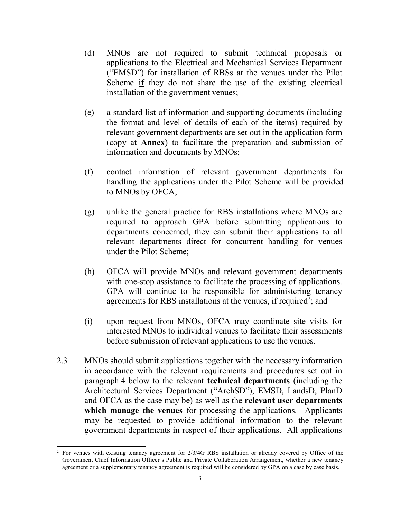- (d) MNOs are not required to submit technical proposals or applications to the Electrical and Mechanical Services Department ("EMSD") for installation of RBSs at the venues under the Pilot Scheme if they do not share the use of the existing electrical installation of the government venues;
- (e) a standard list of information and supporting documents (including the format and level of details of each of the items) required by relevant government departments are set out in the application form (copy at Annex) to facilitate the preparation and submission of information and documents by MNOs;
- (f) contact information of relevant government departments for handling the applications under the Pilot Scheme will be provided to MNOs by OFCA;
- (g) unlike the general practice for RBS installations where MNOs are required to approach GPA before submitting applications to departments concerned, they can submit their applications to all relevant departments direct for concurrent handling for venues under the Pilot Scheme;
- (h) OFCA will provide MNOs and relevant government departments with one-stop assistance to facilitate the processing of applications. GPA will continue to be responsible for administering tenancy agreements for RBS installations at the venues, if required<sup>2</sup>; and
- (i) upon request from MNOs, OFCA may coordinate site visits for interested MNOs to individual venues to facilitate their assessments before submission of relevant applications to use the venues.
- $2.3$  in accordance with the relevant requirements and procedures set out in paragraph 4 below to the relevant technical departments (including the Architectural Services Department ("ArchSD"), EMSD, LandsD, PlanD and OFCA as the case may be) as well as the relevant user departments which manage the venues for processing the applications. Applicants may be requested to provide additional information to the relevant government departments in respect of their applications. All applications MNOs should submit applications together with the necessary information

l

 $\sqrt{2}$  Government Chief Information Officer's Public and Private Collaboration Arrangement, whether a new tenancy agreement or a supplementary tenancy agreement is required will be considered by GPA on a case by case basis. For venues with existing tenancy agreement for 2/3/4G RBS installation or already covered by Office of the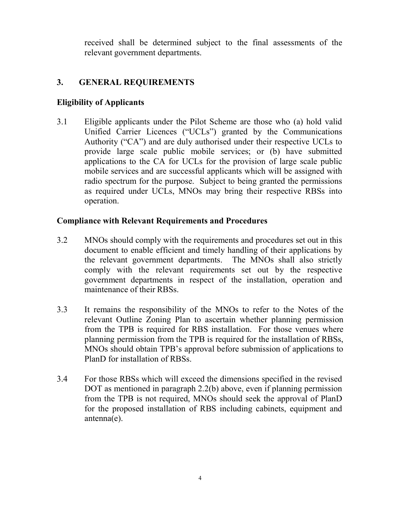received shall be determined subject to the final assessments of the relevant government departments.

# 3. GENERAL REQUIREMENTS

#### Eligibility of Applicants

 $3.1$  Unified Carrier Licences ("UCLs") granted by the Communications Authority ("CA") and are duly authorised under their respective UCLs to provide large scale public mobile services; or (b) have submitted applications to the CA for UCLs for the provision of large scale public mobile services and are successful applicants which will be assigned with radio spectrum for the purpose. Subject to being granted the permissions as required under UCLs, MNOs may bring their respective RBSs into Eligible applicants under the Pilot Scheme are those who (a) hold valid operation.

#### Compliance with Relevant Requirements and Procedures

- $3.2$  document to enable efficient and timely handling of their applications by the relevant government departments. The MNOs shall also strictly comply with the relevant requirements set out by the respective government departments in respect of the installation, operation and maintenance of their RBSs. MNOs should comply with the requirements and procedures set out in this
- $3.3$  relevant Outline Zoning Plan to ascertain whether planning permission from the TPB is required for RBS installation. For those venues where planning permission from the TPB is required for the installation of RBSs, MNOs should obtain TPB's approval before submission of applications to PlanD for installation of RBSs. It remains the responsibility of the MNOs to refer to the Notes of the
- $3.4$  DOT as mentioned in paragraph 2.2(b) above, even if planning permission from the TPB is not required, MNOs should seek the approval of PlanD for the proposed installation of RBS including cabinets, equipment and For those RBSs which will exceed the dimensions specified in the revised antenna(e).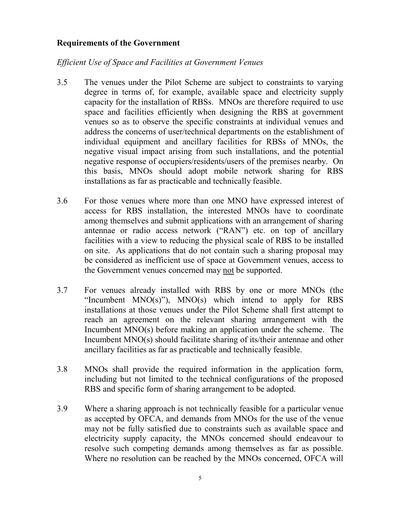### Requirements of the Government

# Efficient Use of Space and Facilities at Government Venues

- $3.5$  degree in terms of, for example, available space and electricity supply capacity for the installation of RBSs. MNOs are therefore required to use space and facilities efficiently when designing the RBS at government venues so as to observe the specific constraints at individual venues and address the concerns of user/technical departments on the establishment of individual equipment and ancillary facilities for RBSs of MNOs, the negative visual impact arising from such installations, and the potential negative response of occupiers/residents/users of the premises nearby. On this basis, MNOs should adopt mobile network sharing for RBS installations as far as practicable and technically feasible. The venues under the Pilot Scheme are subject to constraints to varying
- 3.6 access for RBS installation, the interested MNOs have to coordinate among themselves and submit applications with an arrangement of sharing antennae or radio access network ("RAN") etc. on top of ancillary facilities with a view to reducing the physical scale of RBS to be installed on site. As applications that do not contain such a sharing proposal may be considered as inefficient use of space at Government venues, access to the Government venues concerned may not be supported. For those venues where more than one MNO have expressed interest of
- $3.7$ "Incumbent  $MNO(s)$ "),  $MNO(s)$  which intend to apply for RBS installations at those venues under the Pilot Scheme shall first attempt to reach an agreement on the relevant sharing arrangement with the Incumbent MNO(s) before making an application under the scheme. The Incumbent MNO(s) should facilitate sharing of its/their antennae and other ancillary facilities as far as practicable and technically feasible. For venues already installed with RBS by one or more MNOs (the
- $3.8$  including but not limited to the technical configurations of the proposed RBS and specific form of sharing arrangement to be adopted. MNOs shall provide the required information in the application form,
- 3.9 as accepted by OFCA, and demands from MNOs for the use of the venue may not be fully satisfied due to constraints such as available space and electricity supply capacity, the MNOs concerned should endeavour to resolve such competing demands among themselves as far as possible. Where no resolution can be reached by the MNOs concerned, OFCA will Where a sharing approach is not technically feasible for a particular venue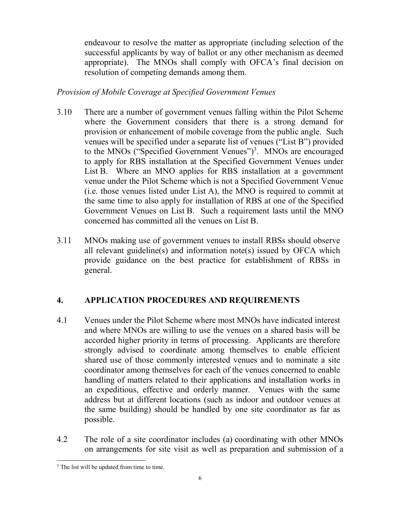endeavour to resolve the matter as appropriate (including selection of the successful applicants by way of ballot or any other mechanism as deemed appropriate). The MNOs shall comply with OFCA's final decision on resolution of competing demands among them.

#### Provision of Mobile Coverage at Specified Government Venues

- 3.10 where the Government considers that there is a strong demand for provision or enhancement of mobile coverage from the public angle. Such venues will be specified under a separate list of venues ("List B") provided to the MNOs ("Specified Government Venues")<sup>3</sup>. MNOs are encouraged to apply for RBS installation at the Specified Government Venues under List B. Where an MNO applies for RBS installation at a government venue under the Pilot Scheme which is not a Specified Government Venue (i.e. those venues listed under List A), the MNO is required to commit at the same time to also apply for installation of RBS at one of the Specified Government Venues on List B. Such a requirement lasts until the MNO concerned has committed all the venues on List B. There are a number of government venues falling within the Pilot Scheme
- $3.11$  all relevant guideline(s) and information note(s) issued by OFCA which provide guidance on the best practice for establishment of RBSs in MNOs making use of government venues to install RBSs should observe general.

#### 4. APPLICATION PROCEDURES AND REQUIREMENTS

- $4.1$  and where MNOs are willing to use the venues on a shared basis will be accorded higher priority in terms of processing. Applicants are therefore strongly advised to coordinate among themselves to enable efficient shared use of those commonly interested venues and to nominate a site coordinator among themselves for each of the venues concerned to enable handling of matters related to their applications and installation works in an expeditious, effective and orderly manner. Venues with the same address but at different locations (such as indoor and outdoor venues at the same building) should be handled by one site coordinator as far as Venues under the Pilot Scheme where most MNOs have indicated interest possible.
- $4.2$  on arrangements for site visit as well as preparation and submission of a The role of a site coordinator includes (a) coordinating with other MNOs

 $\overline{a}$ <sup>3</sup> The list will be updated from time to time.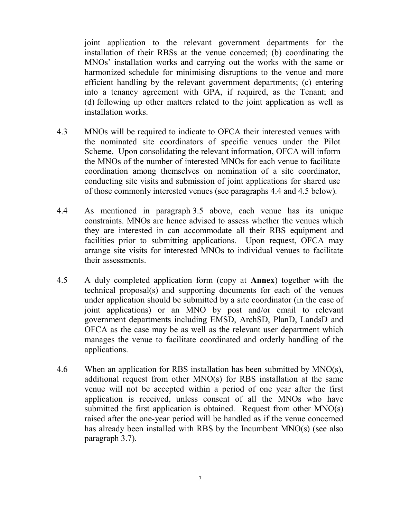joint application to the relevant government departments for the installation of their RBSs at the venue concerned; (b) coordinating the MNOs' installation works and carrying out the works with the same or harmonized schedule for minimising disruptions to the venue and more efficient handling by the relevant government departments; (c) entering into a tenancy agreement with GPA, if required, as the Tenant; and (d) following up other matters related to the joint application as well as installation works.

- 4.3 the nominated site coordinators of specific venues under the Pilot Scheme. Upon consolidating the relevant information, OFCA will inform the MNOs of the number of interested MNOs for each venue to facilitate coordination among themselves on nomination of a site coordinator, conducting site visits and submission of joint applications for shared use of those commonly interested venues (see paragraphs 4.4 and 4.5 below). MNOs will be required to indicate to OFCA their interested venues with
- 4.4 constraints. MNOs are hence advised to assess whether the venues which they are interested in can accommodate all their RBS equipment and facilities prior to submitting applications. Upon request, OFCA may arrange site visits for interested MNOs to individual venues to facilitate As mentioned in paragraph 3.5 above, each venue has its unique their assessments.
- 4.5 technical proposal(s) and supporting documents for each of the venues under application should be submitted by a site coordinator (in the case of joint applications) or an MNO by post and/or email to relevant government departments including EMSD, ArchSD, PlanD, LandsD and OFCA as the case may be as well as the relevant user department which manages the venue to facilitate coordinated and orderly handling of the A duly completed application form (copy at **Annex**) together with the applications.
- 4.6 additional request from other MNO(s) for RBS installation at the same venue will not be accepted within a period of one year after the first application is received, unless consent of all the MNOs who have submitted the first application is obtained. Request from other  $MNO(s)$  raised after the one-year period will be handled as if the venue concerned has already been installed with RBS by the Incumbent MNO(s) (see also When an application for RBS installation has been submitted by  $MNO(s)$ , paragraph 3.7).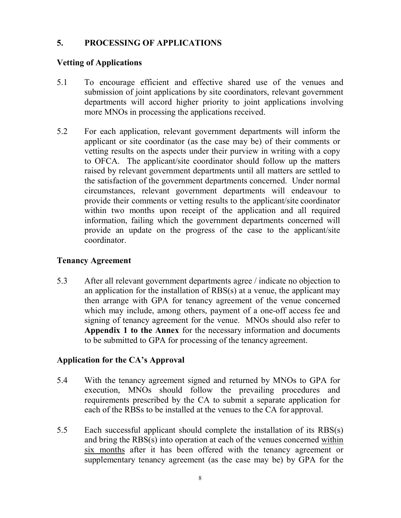## 5. PROCESSING OF APPLICATIONS

### Vetting of Applications

- $5.1$  submission of joint applications by site coordinators, relevant government departments will accord higher priority to joint applications involving more MNOs in processing the applications received. To encourage efficient and effective shared use of the venues and
- $5.2$  applicant or site coordinator (as the case may be) of their comments or vetting results on the aspects under their purview in writing with a copy to OFCA. The applicant/site coordinator should follow up the matters raised by relevant government departments until all matters are settled to the satisfaction of the government departments concerned. Under normal circumstances, relevant government departments will endeavour to provide their comments or vetting results to the applicant/site coordinator within two months upon receipt of the application and all required information, failing which the government departments concerned will provide an update on the progress of the case to the applicant/site For each application, relevant government departments will inform the coordinator.

# Tenancy Agreement

5.3 an application for the installation of RBS(s) at a venue, the applicant may then arrange with GPA for tenancy agreement of the venue concerned which may include, among others, payment of a one-off access fee and signing of tenancy agreement for the venue. MNOs should also refer to Appendix 1 to the Annex for the necessary information and documents to be submitted to GPA for processing of the tenancy agreement. After all relevant government departments agree / indicate no objection to

#### Application for the CA's Approval

- 5.4 execution, MNOs should follow the prevailing procedures and requirements prescribed by the CA to submit a separate application for each of the RBSs to be installed at the venues to the CA for approval. With the tenancy agreement signed and returned by MNOs to GPA for
- $5.5$ and bring the RBS(s) into operation at each of the venues concerned within six months after it has been offered with the tenancy agreement or supplementary tenancy agreement (as the case may be) by GPA for the Each successful applicant should complete the installation of its  $RBS(s)$